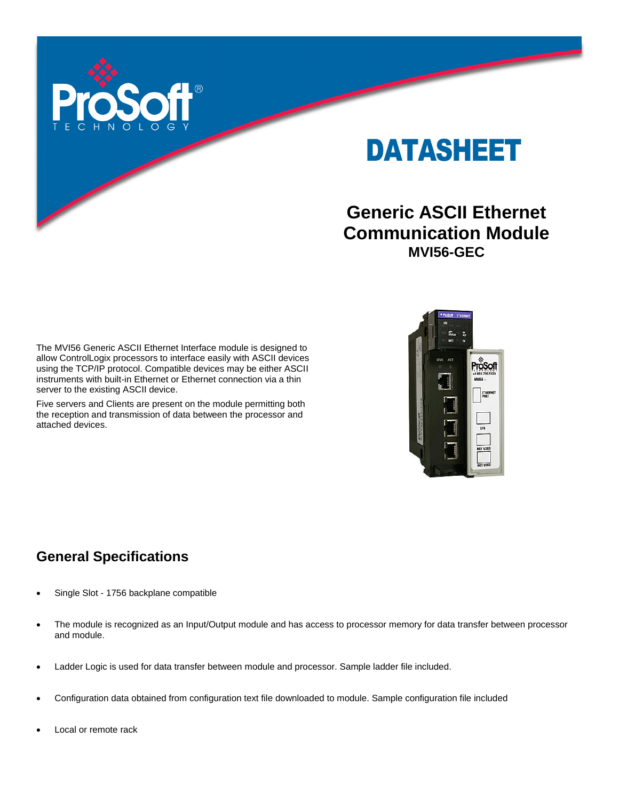

# DATASHEET

# **Generic ASCII Ethernet Communication Module MVI56-GEC**

The MVI56 Generic ASCII Ethernet Interface module is designed to allow ControlLogix processors to interface easily with ASCII devices using the TCP/IP protocol. Compatible devices may be either ASCII instruments with built-in Ethernet or Ethernet connection via a thin server to the existing ASCII device.

Five servers and Clients are present on the module permitting both the reception and transmission of data between the processor and attached devices.



### **General Specifications**

- Single Slot 1756 backplane compatible
- The module is recognized as an Input/Output module and has access to processor memory for data transfer between processor and module.
- Ladder Logic is used for data transfer between module and processor. Sample ladder file included.
- Configuration data obtained from configuration text file downloaded to module. Sample configuration file included
- Local or remote rack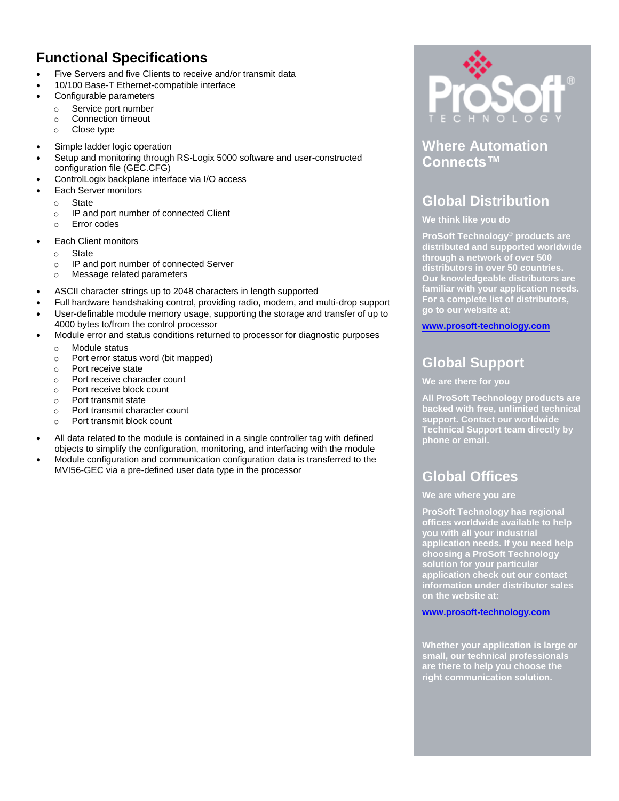### **Functional Specifications**

- Five Servers and five Clients to receive and/or transmit data
- 10/100 Base-T Ethernet-compatible interface
- Configurable parameters
	- o Service port number
	- o Connection timeout
	- o Close type
- Simple ladder logic operation
- Setup and monitoring through RS-Logix 5000 software and user-constructed configuration file (GEC.CFG)
- ControlLogix backplane interface via I/O access
- Each Server monitors
	- o State
	- o IP and port number of connected Client
	- o Error codes
- Each Client monitors
	- o State
	- o IP and port number of connected Server
	- o Message related parameters
- ASCII character strings up to 2048 characters in length supported
- Full hardware handshaking control, providing radio, modem, and multi-drop support
- User-definable module memory usage, supporting the storage and transfer of up to 4000 bytes to/from the control processor
- Module error and status conditions returned to processor for diagnostic purposes
	- o Module status
	- o Port error status word (bit mapped)
	- o Port receive state
	- o Port receive character count
	- o Port receive block count
	- o Port transmit state
	- o Port transmit character count
	- o Port transmit block count
- All data related to the module is contained in a single controller tag with defined objects to simplify the configuration, monitoring, and interfacing with the module
- Module configuration and communication configuration data is transferred to the MVI56-GEC via a pre-defined user data type in the processor



**Where Automation Connects™**

### **Global Distribution**

#### **We think like you do**

**ProSoft Technology® products are distributed and supported worldwide through a network of over 500 distributors in over 50 countries. Our knowledgeable distributors are familiar with your application needs. For a complete list of distributors, go to our website at:**

**www.prosoft-technology.com**

## **Global Support**

#### **We are there for you**

**All ProSoft Technology products are backed with free, unlimited technical support. Contact our worldwide Technical Support team directly by phone or email.**

### **Global Offices**

#### **We are where you are**

**ProSoft Technology has regional offices worldwide available to help you with all your industrial application needs. If you need help choosing a ProSoft Technology solution for your particular application check out our contact information under distributor sales on the website at:**

#### **[www.prosoft-technology.com](http://www.prosoft-technology.com/)**

**Whether your application is large or small, our technical professionals are there to help you choose the right communication solution.**